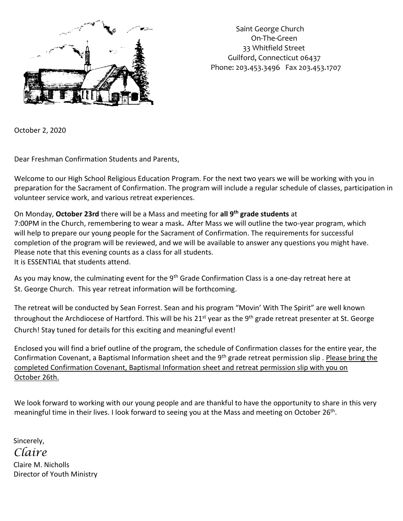

 Saint George Church On-The-Green 33 Whitfield Street Guilford, Connecticut 06437 Phone: 203.453.3496 Fax 203.453.1707

October 2, 2020

Dear Freshman Confirmation Students and Parents,

Welcome to our High School Religious Education Program. For the next two years we will be working with you in preparation for the Sacrament of Confirmation. The program will include a regular schedule of classes, participation in volunteer service work, and various retreat experiences.

On Monday, **October 23rd** there will be a Mass and meeting for **all 9th grade students** at 7:00PM in the Church, remembering to wear a mask**.** After Mass we will outline the two-year program, which will help to prepare our young people for the Sacrament of Confirmation. The requirements for successful completion of the program will be reviewed, and we will be available to answer any questions you might have. Please note that this evening counts as a class for all students. It is ESSENTIAL that students attend.

As you may know, the culminating event for the 9<sup>th</sup> Grade Confirmation Class is a one-day retreat here at St. George Church. This year retreat information will be forthcoming.

The retreat will be conducted by Sean Forrest. Sean and his program "Movin' With The Spirit" are well known throughout the Archdiocese of Hartford. This will be his 21<sup>st</sup> year as the 9<sup>th</sup> grade retreat presenter at St. George Church! Stay tuned for details for this exciting and meaningful event!

Enclosed you will find a brief outline of the program, the schedule of Confirmation classes for the entire year, the Confirmation Covenant, a Baptismal Information sheet and the 9<sup>th</sup> grade retreat permission slip. Please bring the completed Confirmation Covenant, Baptismal Information sheet and retreat permission slip with you on October 26th.

We look forward to working with our young people and are thankful to have the opportunity to share in this very meaningful time in their lives. I look forward to seeing you at the Mass and meeting on October 26<sup>th</sup>.

 Sincerely, *Claire* Claire M. Nicholls Director of Youth Ministry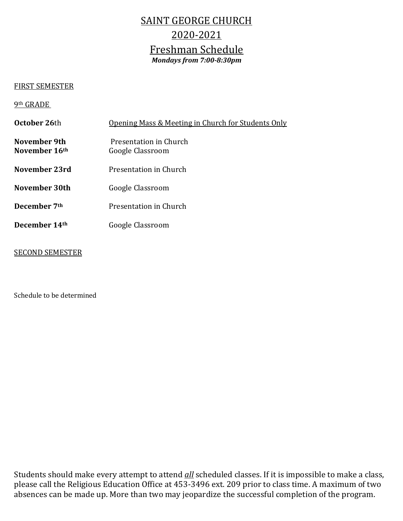## SAINT GEORGE CHURCH 2020-2021 Freshman Schedule *Mondays from 7:00-8:30pm*

## FIRST SEMESTER

## 9th GRADE

| October 26th                  | <u>Opening Mass &amp; Meeting in Church for Students Only</u> |
|-------------------------------|---------------------------------------------------------------|
| November 9th<br>November 16th | Presentation in Church<br>Google Classroom                    |
| November 23rd                 | Presentation in Church                                        |
| November 30th                 | Google Classroom                                              |
| December 7th                  | Presentation in Church                                        |
| December 14th                 | Google Classroom                                              |
|                               |                                                               |

## SECOND SEMESTER

Schedule to be determined

Students should make every attempt to attend *all* scheduled classes. If it is impossible to make a class, please call the Religious Education Office at 453-3496 ext. 209 prior to class time. A maximum of two absences can be made up. More than two may jeopardize the successful completion of the program.